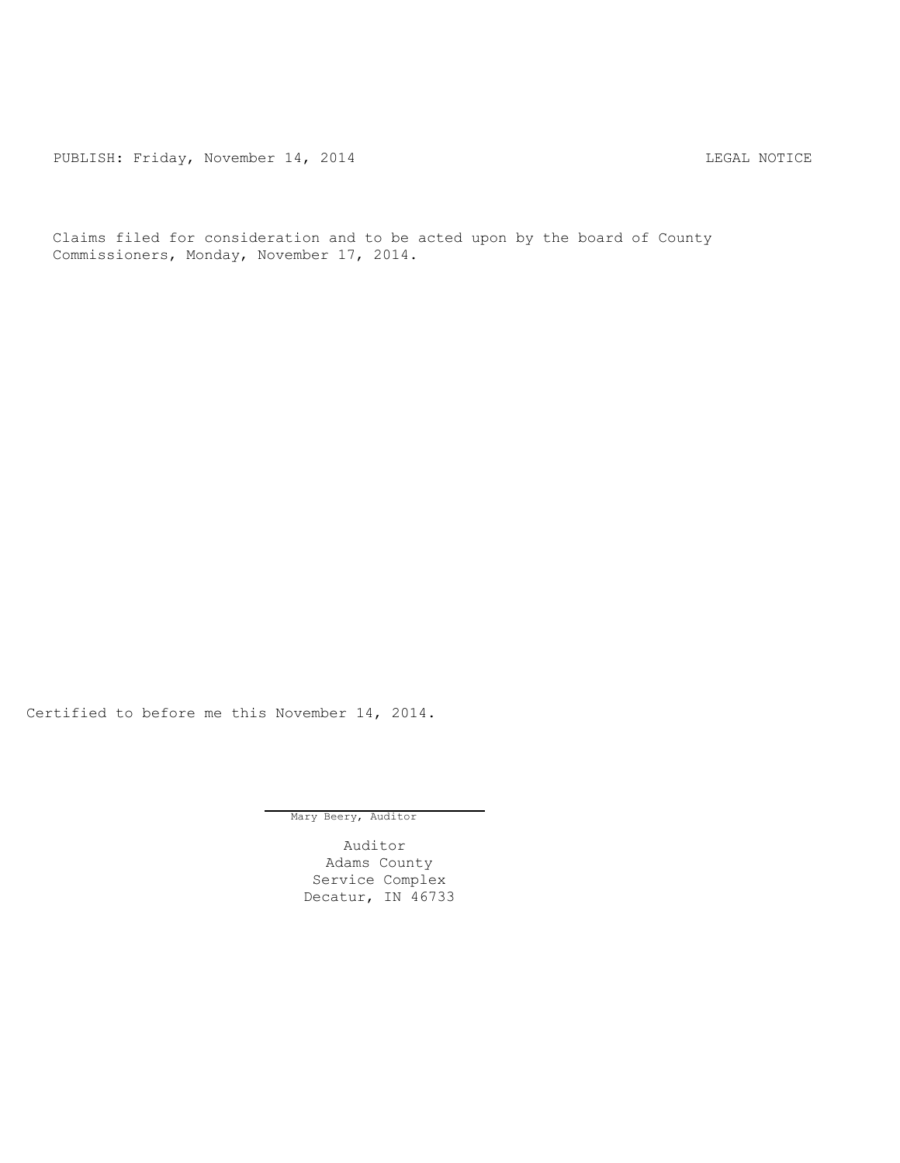PUBLISH: Friday, November 14, 2014 CHA CHANGE CONSTRUCTED MOTICE

Claims filed for consideration and to be acted upon by the board of County Commissioners, Monday, November 17, 2014.

Certified to before me this November 14, 2014.

Mary Beery, Auditor

Auditor Adams County Service Complex Decatur, IN 46733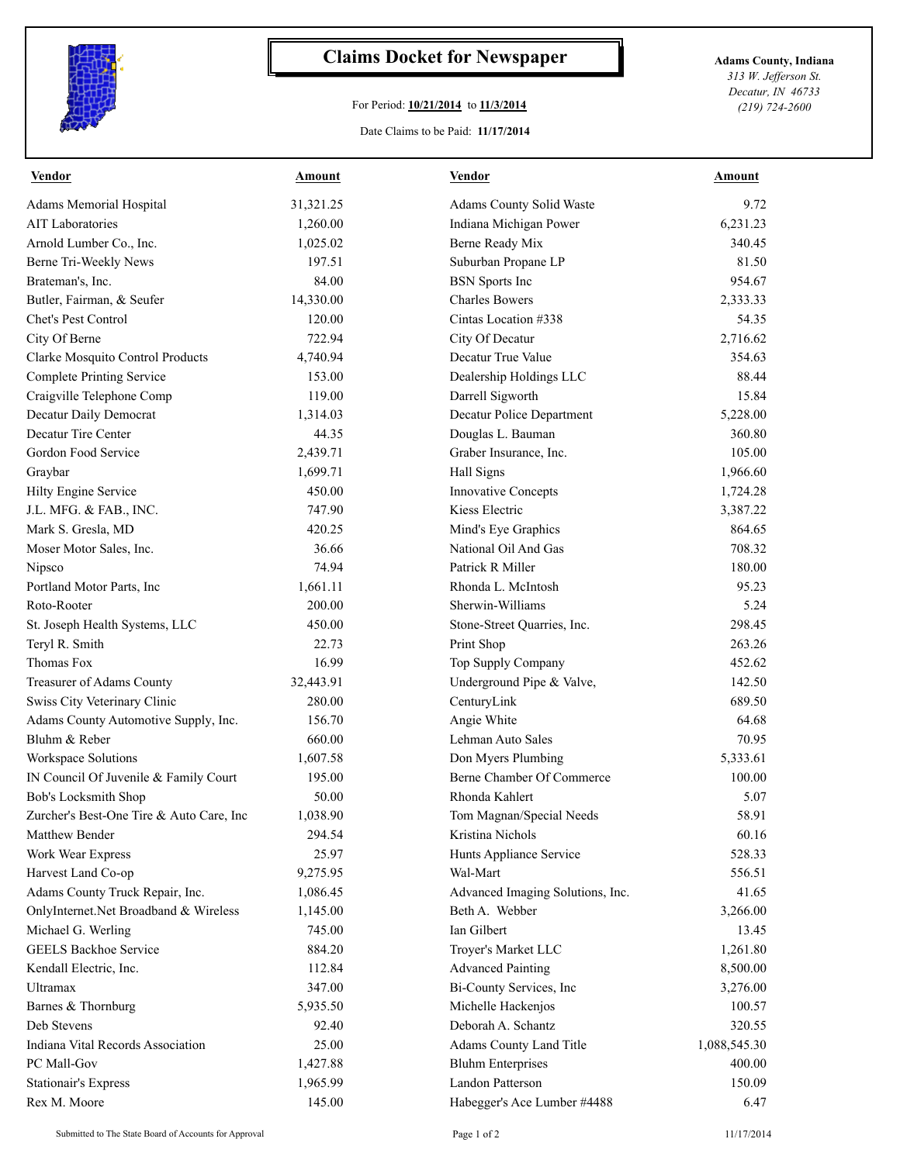

## **Claims Docket for Newspaper Adams County, Indiana**

## For Period: **10/21/2014** to **11/3/2014**

Date Claims to be Paid: **11/17/2014**

*313 W. Jefferson St. Decatur, IN 46733 (219) 724-2600*

| <b>Vendor</b>                            | Amount    | <b>Vendor</b>                    | Amount       |
|------------------------------------------|-----------|----------------------------------|--------------|
| <b>Adams Memorial Hospital</b>           | 31,321.25 | Adams County Solid Waste         | 9.72         |
| <b>AIT Laboratories</b>                  | 1,260.00  | Indiana Michigan Power           | 6,231.23     |
| Arnold Lumber Co., Inc.                  | 1,025.02  | Berne Ready Mix                  | 340.45       |
| Berne Tri-Weekly News                    | 197.51    | Suburban Propane LP              | 81.50        |
| Brateman's, Inc.                         | 84.00     | <b>BSN</b> Sports Inc            | 954.67       |
| Butler, Fairman, & Seufer                | 14,330.00 | <b>Charles Bowers</b>            | 2,333.33     |
| Chet's Pest Control                      | 120.00    | Cintas Location #338             | 54.35        |
| City Of Berne                            | 722.94    | City Of Decatur                  | 2,716.62     |
| Clarke Mosquito Control Products         | 4,740.94  | Decatur True Value               | 354.63       |
| <b>Complete Printing Service</b>         | 153.00    | Dealership Holdings LLC          | 88.44        |
| Craigville Telephone Comp                | 119.00    | Darrell Sigworth                 | 15.84        |
| Decatur Daily Democrat                   | 1,314.03  | Decatur Police Department        | 5,228.00     |
| Decatur Tire Center                      | 44.35     | Douglas L. Bauman                | 360.80       |
| Gordon Food Service                      | 2,439.71  | Graber Insurance, Inc.           | 105.00       |
| Graybar                                  | 1,699.71  | Hall Signs                       | 1,966.60     |
| <b>Hilty Engine Service</b>              | 450.00    | <b>Innovative Concepts</b>       | 1,724.28     |
| J.L. MFG. & FAB., INC.                   | 747.90    | Kiess Electric                   | 3,387.22     |
| Mark S. Gresla, MD                       | 420.25    | Mind's Eye Graphics              | 864.65       |
| Moser Motor Sales, Inc.                  | 36.66     | National Oil And Gas             | 708.32       |
| Nipsco                                   | 74.94     | Patrick R Miller                 | 180.00       |
| Portland Motor Parts, Inc                | 1,661.11  | Rhonda L. McIntosh               | 95.23        |
| Roto-Rooter                              | 200.00    | Sherwin-Williams                 | 5.24         |
| St. Joseph Health Systems, LLC           | 450.00    | Stone-Street Quarries, Inc.      | 298.45       |
| Teryl R. Smith                           | 22.73     | Print Shop                       | 263.26       |
| Thomas Fox                               | 16.99     | Top Supply Company               | 452.62       |
| Treasurer of Adams County                | 32,443.91 | Underground Pipe & Valve,        | 142.50       |
| Swiss City Veterinary Clinic             | 280.00    | CenturyLink                      | 689.50       |
| Adams County Automotive Supply, Inc.     | 156.70    | Angie White                      | 64.68        |
| Bluhm & Reber                            | 660.00    | Lehman Auto Sales                | 70.95        |
| Workspace Solutions                      | 1,607.58  | Don Myers Plumbing               | 5,333.61     |
| IN Council Of Juvenile & Family Court    | 195.00    | Berne Chamber Of Commerce        | 100.00       |
| <b>Bob's Locksmith Shop</b>              | 50.00     | Rhonda Kahlert                   | 5.07         |
| Zurcher's Best-One Tire & Auto Care, Inc | 1,038.90  | Tom Magnan/Special Needs         | 58.91        |
| <b>Matthew Bender</b>                    | 294.54    | Kristina Nichols                 | 60.16        |
| Work Wear Express                        | 25.97     | Hunts Appliance Service          | 528.33       |
| Harvest Land Co-op                       | 9,275.95  | Wal-Mart                         | 556.51       |
| Adams County Truck Repair, Inc.          | 1,086.45  | Advanced Imaging Solutions, Inc. | 41.65        |
| OnlyInternet.Net Broadband & Wireless    | 1,145.00  | Beth A. Webber                   | 3,266.00     |
| Michael G. Werling                       | 745.00    | Ian Gilbert                      | 13.45        |
| <b>GEELS Backhoe Service</b>             | 884.20    | Troyer's Market LLC              | 1,261.80     |
| Kendall Electric, Inc.                   | 112.84    | <b>Advanced Painting</b>         | 8,500.00     |
| Ultramax                                 | 347.00    | Bi-County Services, Inc          | 3,276.00     |
| Barnes & Thornburg                       | 5,935.50  | Michelle Hackenjos               | 100.57       |
| Deb Stevens                              | 92.40     | Deborah A. Schantz               | 320.55       |
| Indiana Vital Records Association        | 25.00     | Adams County Land Title          | 1,088,545.30 |
| PC Mall-Gov                              | 1,427.88  | <b>Bluhm Enterprises</b>         | 400.00       |
| <b>Stationair's Express</b>              | 1,965.99  | Landon Patterson                 | 150.09       |
| Rex M. Moore                             | 145.00    | Habegger's Ace Lumber #4488      | 6.47         |